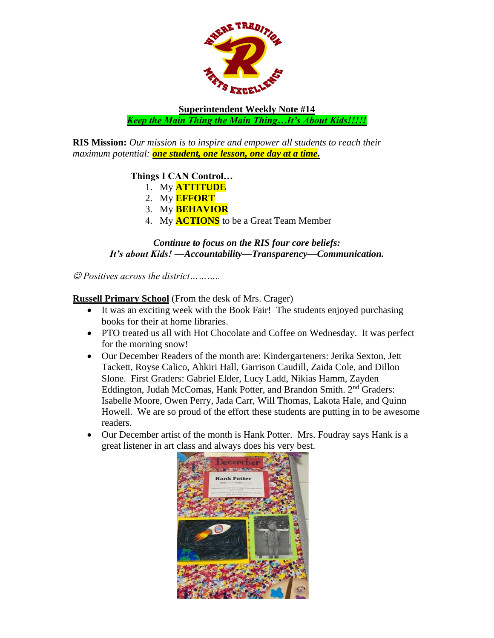

**Superintendent Weekly Note #14** *Keep the Main Thing the Main Thing…It's About Kids!!!!!*

**RIS Mission:** *Our mission is to inspire and empower all students to reach their maximum potential: one student, one lesson, one day at a time.*

# **Things I CAN Control…**

- 1. My **ATTITUDE**
- 2. My **EFFORT**
- 3. My **BEHAVIOR**
- 4. My **ACTIONS** to be a Great Team Member

### *Continue to focus on the RIS four core beliefs: It's about Kids! —Accountability—Transparency—Communication.*

☺ *Positives across the district………..*

# **Russell Primary School** (From the desk of Mrs. Crager)

- It was an exciting week with the Book Fair! The students enjoyed purchasing books for their at home libraries.
- PTO treated us all with Hot Chocolate and Coffee on Wednesday. It was perfect for the morning snow!
- Our December Readers of the month are: Kindergarteners: Jerika Sexton, Jett Tackett, Royse Calico, Ahkiri Hall, Garrison Caudill, Zaida Cole, and Dillon Slone. First Graders: Gabriel Elder, Lucy Ladd, Nikias Hamm, Zayden Eddington, Judah McComas, Hank Potter, and Brandon Smith. 2<sup>nd</sup> Graders: Isabelle Moore, Owen Perry, Jada Carr, Will Thomas, Lakota Hale, and Quinn Howell. We are so proud of the effort these students are putting in to be awesome readers.
- Our December artist of the month is Hank Potter. Mrs. Foudray says Hank is a great listener in art class and always does his very best.

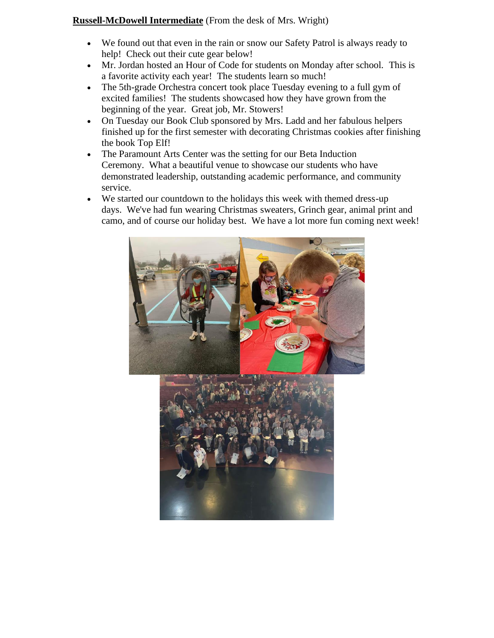# **Russell-McDowell Intermediate** (From the desk of Mrs. Wright)

- We found out that even in the rain or snow our Safety Patrol is always ready to help! Check out their cute gear below!
- Mr. Jordan hosted an Hour of Code for students on Monday after school. This is a favorite activity each year! The students learn so much!
- The 5th-grade Orchestra concert took place Tuesday evening to a full gym of excited families! The students showcased how they have grown from the beginning of the year. Great job, Mr. Stowers!
- On Tuesday our Book Club sponsored by Mrs. Ladd and her fabulous helpers finished up for the first semester with decorating Christmas cookies after finishing the book Top Elf!
- The Paramount Arts Center was the setting for our Beta Induction Ceremony. What a beautiful venue to showcase our students who have demonstrated leadership, outstanding academic performance, and community service.
- We started our countdown to the holidays this week with themed dress-up days. We've had fun wearing Christmas sweaters, Grinch gear, animal print and camo, and of course our holiday best. We have a lot more fun coming next week!

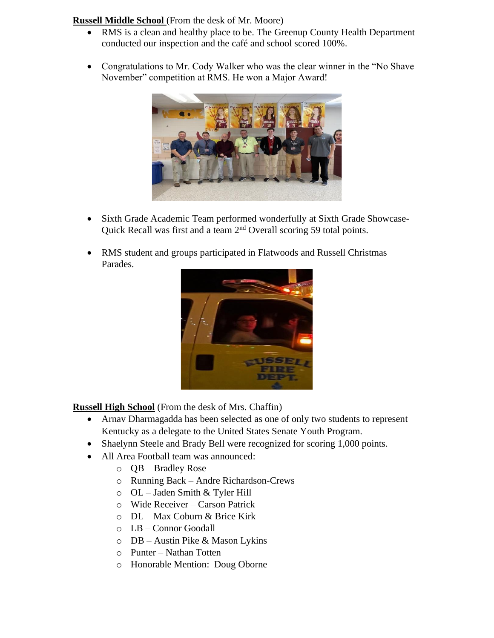# **Russell Middle School** (From the desk of Mr. Moore)

- RMS is a clean and healthy place to be. The Greenup County Health Department conducted our inspection and the café and school scored 100%.
- Congratulations to Mr. Cody Walker who was the clear winner in the "No Shave November" competition at RMS. He won a Major Award!



- Sixth Grade Academic Team performed wonderfully at Sixth Grade Showcase-Quick Recall was first and a team 2nd Overall scoring 59 total points.
- RMS student and groups participated in Flatwoods and Russell Christmas Parades.



**Russell High School** (From the desk of Mrs. Chaffin)

- Arnav Dharmagadda has been selected as one of only two students to represent Kentucky as a delegate to the United States Senate Youth Program.
- Shaelynn Steele and Brady Bell were recognized for scoring 1,000 points.
- All Area Football team was announced:
	- o QB Bradley Rose
	- o Running Back Andre Richardson-Crews
	- o OL Jaden Smith & Tyler Hill
	- o Wide Receiver Carson Patrick
	- o DL Max Coburn & Brice Kirk
	- o LB Connor Goodall
	- o DB Austin Pike & Mason Lykins
	- o Punter Nathan Totten
	- o Honorable Mention: Doug Oborne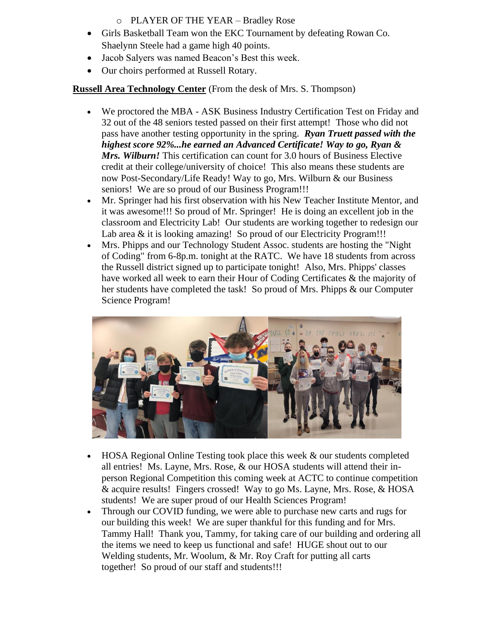- o PLAYER OF THE YEAR Bradley Rose
- Girls Basketball Team won the EKC Tournament by defeating Rowan Co. Shaelynn Steele had a game high 40 points.
- Jacob Salyers was named Beacon's Best this week.
- Our choirs performed at Russell Rotary.

**Russell Area Technology Center** (From the desk of Mrs. S. Thompson)

- We proctored the MBA ASK Business Industry Certification Test on Friday and 32 out of the 48 seniors tested passed on their first attempt! Those who did not pass have another testing opportunity in the spring. *Ryan Truett passed with the highest score 92%...he earned an Advanced Certificate! Way to go, Ryan & Mrs. Wilburn!* This certification can count for 3.0 hours of Business Elective credit at their college/university of choice! This also means these students are now Post-Secondary/Life Ready! Way to go, Mrs. Wilburn & our Business seniors! We are so proud of our Business Program!!!
- Mr. Springer had his first observation with his New Teacher Institute Mentor, and it was awesome!!! So proud of Mr. Springer! He is doing an excellent job in the classroom and Electricity Lab! Our students are working together to redesign our Lab area & it is looking amazing! So proud of our Electricity Program!!!
- Mrs. Phipps and our Technology Student Assoc. students are hosting the "Night of Coding" from 6-8p.m. tonight at the RATC. We have 18 students from across the Russell district signed up to participate tonight! Also, Mrs. Phipps' classes have worked all week to earn their Hour of Coding Certificates & the majority of her students have completed the task! So proud of Mrs. Phipps & our Computer Science Program!



- HOSA Regional Online Testing took place this week & our students completed all entries! Ms. Layne, Mrs. Rose, & our HOSA students will attend their inperson Regional Competition this coming week at ACTC to continue competition & acquire results! Fingers crossed! Way to go Ms. Layne, Mrs. Rose, & HOSA students! We are super proud of our Health Sciences Program!
- Through our COVID funding, we were able to purchase new carts and rugs for our building this week! We are super thankful for this funding and for Mrs. Tammy Hall! Thank you, Tammy, for taking care of our building and ordering all the items we need to keep us functional and safe! HUGE shout out to our Welding students, Mr. Woolum, & Mr. Roy Craft for putting all carts together! So proud of our staff and students!!!